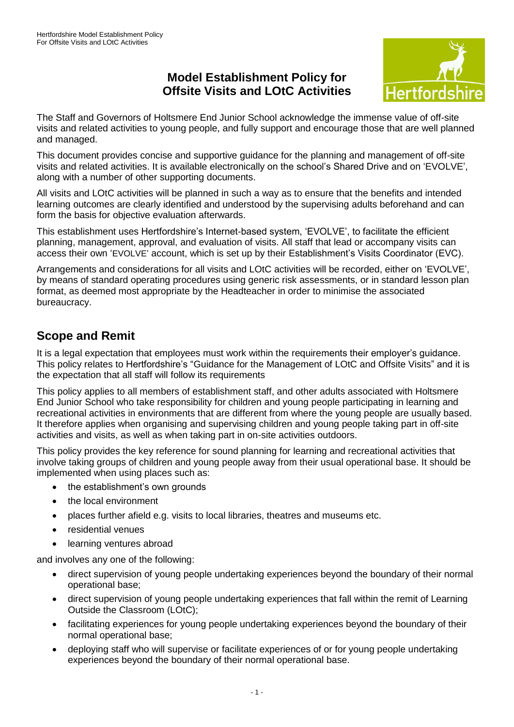## **Model Establishment Policy for Offsite Visits and LOtC Activities**



The Staff and Governors of Holtsmere End Junior School acknowledge the immense value of off-site visits and related activities to young people, and fully support and encourage those that are well planned and managed.

This document provides concise and supportive guidance for the planning and management of off-site visits and related activities. It is available electronically on the school's Shared Drive and on 'EVOLVE', along with a number of other supporting documents.

All visits and LOtC activities will be planned in such a way as to ensure that the benefits and intended learning outcomes are clearly identified and understood by the supervising adults beforehand and can form the basis for objective evaluation afterwards.

This establishment uses Hertfordshire's Internet-based system, 'EVOLVE', to facilitate the efficient planning, management, approval, and evaluation of visits. All staff that lead or accompany visits can access their own 'EVOLVE' account, which is set up by their Establishment's Visits Coordinator (EVC).

Arrangements and considerations for all visits and LOtC activities will be recorded, either on 'EVOLVE', by means of standard operating procedures using generic risk assessments, or in standard lesson plan format, as deemed most appropriate by the Headteacher in order to minimise the associated bureaucracy.

# **Scope and Remit**

It is a legal expectation that employees must work within the requirements their employer's guidance. This policy relates to Hertfordshire's "Guidance for the Management of LOtC and Offsite Visits" and it is the expectation that all staff will follow its requirements

This policy applies to all members of establishment staff, and other adults associated with Holtsmere End Junior School who take responsibility for children and young people participating in learning and recreational activities in environments that are different from where the young people are usually based. It therefore applies when organising and supervising children and young people taking part in off-site activities and visits, as well as when taking part in on-site activities outdoors.

This policy provides the key reference for sound planning for learning and recreational activities that involve taking groups of children and young people away from their usual operational base. It should be implemented when using places such as:

- the establishment's own grounds
- the local environment
- places further afield e.g. visits to local libraries, theatres and museums etc.
- residential venues
- learning ventures abroad

and involves any one of the following:

- direct supervision of young people undertaking experiences beyond the boundary of their normal operational base;
- direct supervision of young people undertaking experiences that fall within the remit of Learning Outside the Classroom (LOtC);
- facilitating experiences for young people undertaking experiences beyond the boundary of their normal operational base;
- deploying staff who will supervise or facilitate experiences of or for young people undertaking experiences beyond the boundary of their normal operational base.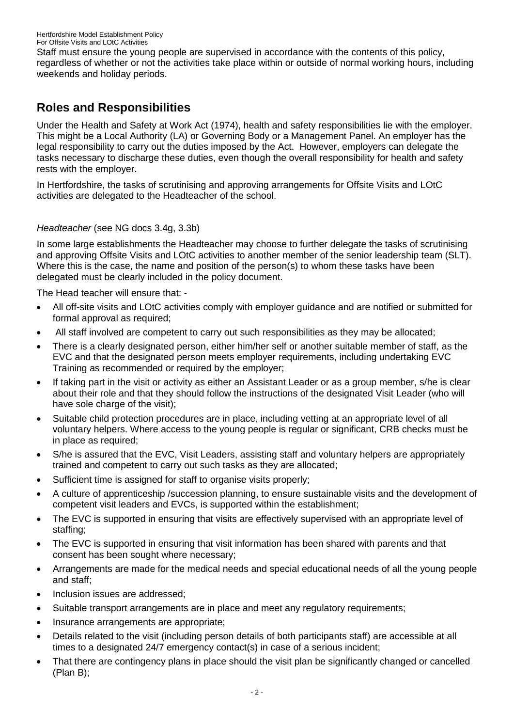Staff must ensure the young people are supervised in accordance with the contents of this policy, regardless of whether or not the activities take place within or outside of normal working hours, including weekends and holiday periods.

# **Roles and Responsibilities**

Under the Health and Safety at Work Act (1974), health and safety responsibilities lie with the employer. This might be a Local Authority (LA) or Governing Body or a Management Panel. An employer has the legal responsibility to carry out the duties imposed by the Act. However, employers can delegate the tasks necessary to discharge these duties, even though the overall responsibility for health and safety rests with the employer.

In Hertfordshire, the tasks of scrutinising and approving arrangements for Offsite Visits and LOtC activities are delegated to the Headteacher of the school.

### *Headteacher* (see NG docs 3.4g, 3.3b)

In some large establishments the Headteacher may choose to further delegate the tasks of scrutinising and approving Offsite Visits and LOtC activities to another member of the senior leadership team (SLT). Where this is the case, the name and position of the person(s) to whom these tasks have been delegated must be clearly included in the policy document.

The Head teacher will ensure that: -

- All off-site visits and LOtC activities comply with employer guidance and are notified or submitted for formal approval as required;
- All staff involved are competent to carry out such responsibilities as they may be allocated;
- There is a clearly designated person, either him/her self or another suitable member of staff, as the EVC and that the designated person meets employer requirements, including undertaking EVC Training as recommended or required by the employer;
- If taking part in the visit or activity as either an Assistant Leader or as a group member, s/he is clear about their role and that they should follow the instructions of the designated Visit Leader (who will have sole charge of the visit);
- Suitable child protection procedures are in place, including vetting at an appropriate level of all voluntary helpers. Where access to the young people is regular or significant, CRB checks must be in place as required;
- S/he is assured that the EVC, Visit Leaders, assisting staff and voluntary helpers are appropriately trained and competent to carry out such tasks as they are allocated;
- Sufficient time is assigned for staff to organise visits properly;
- A culture of apprenticeship /succession planning, to ensure sustainable visits and the development of competent visit leaders and EVCs, is supported within the establishment;
- The EVC is supported in ensuring that visits are effectively supervised with an appropriate level of staffing;
- The EVC is supported in ensuring that visit information has been shared with parents and that consent has been sought where necessary;
- Arrangements are made for the medical needs and special educational needs of all the young people and staff;
- Inclusion issues are addressed;
- Suitable transport arrangements are in place and meet any regulatory requirements;
- Insurance arrangements are appropriate;
- Details related to the visit (including person details of both participants staff) are accessible at all times to a designated 24/7 emergency contact(s) in case of a serious incident;
- That there are contingency plans in place should the visit plan be significantly changed or cancelled (Plan B);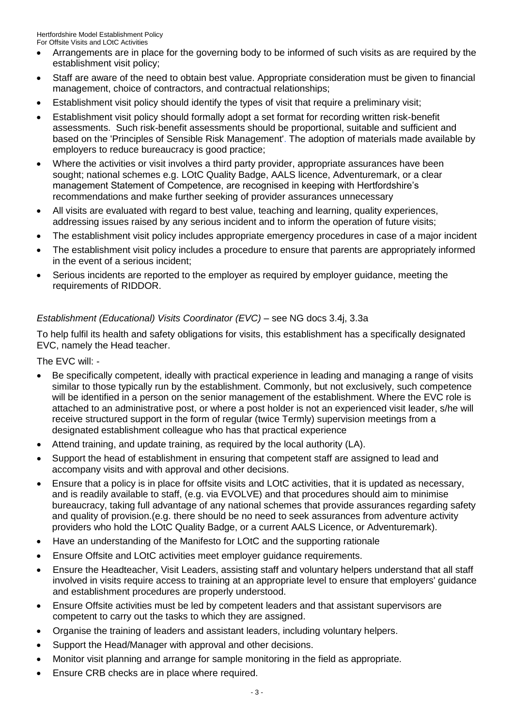Hertfordshire Model Establishment Policy For Offsite Visits and LOtC Activities

- Arrangements are in place for the governing body to be informed of such visits as are required by the establishment visit policy;
- Staff are aware of the need to obtain best value. Appropriate consideration must be given to financial management, choice of contractors, and contractual relationships;
- Establishment visit policy should identify the types of visit that require a preliminary visit;
- Establishment visit policy should formally adopt a set format for recording written risk-benefit assessments. Such risk-benefit assessments should be proportional, suitable and sufficient and based on the 'Principles of Sensible Risk Management'. The adoption of materials made available by employers to reduce bureaucracy is good practice;
- Where the activities or visit involves a third party provider, appropriate assurances have been sought; national schemes e.g. LOtC Quality Badge, AALS licence, Adventuremark, or a clear management Statement of Competence, are recognised in keeping with Hertfordshire's recommendations and make further seeking of provider assurances unnecessary
- All visits are evaluated with regard to best value, teaching and learning, quality experiences, addressing issues raised by any serious incident and to inform the operation of future visits;
- The establishment visit policy includes appropriate emergency procedures in case of a major incident
- The establishment visit policy includes a procedure to ensure that parents are appropriately informed in the event of a serious incident;
- Serious incidents are reported to the employer as required by employer guidance, meeting the requirements of RIDDOR.

### *Establishment (Educational) Visits Coordinator (EVC)* – see NG docs 3.4j, 3.3a

To help fulfil its health and safety obligations for visits, this establishment has a specifically designated EVC, namely the Head teacher.

The EVC will: -

- Be specifically competent, ideally with practical experience in leading and managing a range of visits similar to those typically run by the establishment. Commonly, but not exclusively, such competence will be identified in a person on the senior management of the establishment. Where the EVC role is attached to an administrative post, or where a post holder is not an experienced visit leader, s/he will receive structured support in the form of regular (twice Termly) supervision meetings from a designated establishment colleague who has that practical experience
- Attend training, and update training, as required by the local authority (LA).
- Support the head of establishment in ensuring that competent staff are assigned to lead and accompany visits and with approval and other decisions.
- Ensure that a policy is in place for offsite visits and LOtC activities, that it is updated as necessary, and is readily available to staff, (e.g. via EVOLVE) and that procedures should aim to minimise bureaucracy, taking full advantage of any national schemes that provide assurances regarding safety and quality of provision.(e.g. there should be no need to seek assurances from adventure activity providers who hold the LOtC Quality Badge, or a current AALS Licence, or Adventuremark).
- Have an understanding of the Manifesto for LOtC and the supporting rationale
- Ensure Offsite and LOtC activities meet employer guidance requirements.
- Ensure the Headteacher, Visit Leaders, assisting staff and voluntary helpers understand that all staff involved in visits require access to training at an appropriate level to ensure that employers' guidance and establishment procedures are properly understood.
- Ensure Offsite activities must be led by competent leaders and that assistant supervisors are competent to carry out the tasks to which they are assigned.
- Organise the training of leaders and assistant leaders, including voluntary helpers.
- Support the Head/Manager with approval and other decisions.
- Monitor visit planning and arrange for sample monitoring in the field as appropriate.
- Ensure CRB checks are in place where required.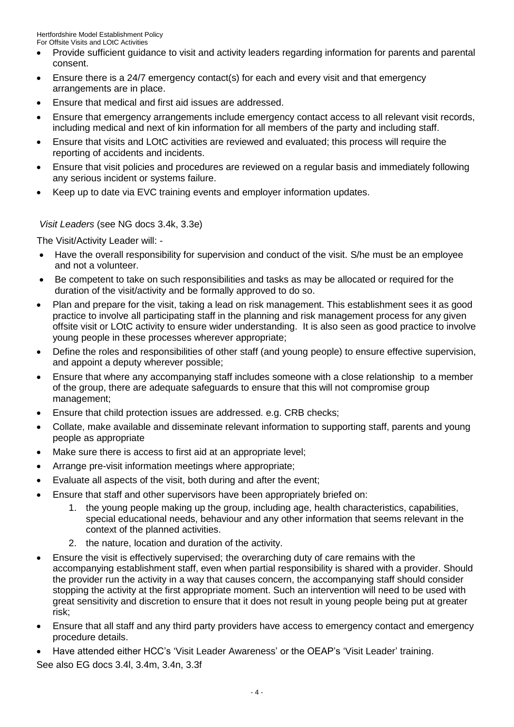- Provide sufficient guidance to visit and activity leaders regarding information for parents and parental consent.
- Ensure there is a 24/7 emergency contact(s) for each and every visit and that emergency arrangements are in place.
- Ensure that medical and first aid issues are addressed.
- Ensure that emergency arrangements include emergency contact access to all relevant visit records, including medical and next of kin information for all members of the party and including staff.
- Ensure that visits and LOtC activities are reviewed and evaluated; this process will require the reporting of accidents and incidents.
- Ensure that visit policies and procedures are reviewed on a regular basis and immediately following any serious incident or systems failure.
- Keep up to date via EVC training events and employer information updates.

### *Visit Leaders* (see NG docs 3.4k, 3.3e)

The Visit/Activity Leader will: -

- Have the overall responsibility for supervision and conduct of the visit. S/he must be an employee and not a volunteer.
- Be competent to take on such responsibilities and tasks as may be allocated or required for the duration of the visit/activity and be formally approved to do so.
- Plan and prepare for the visit, taking a lead on risk management. This establishment sees it as good practice to involve all participating staff in the planning and risk management process for any given offsite visit or LOtC activity to ensure wider understanding. It is also seen as good practice to involve young people in these processes wherever appropriate;
- Define the roles and responsibilities of other staff (and young people) to ensure effective supervision, and appoint a deputy wherever possible;
- Ensure that where any accompanying staff includes someone with a close relationship to a member of the group, there are adequate safeguards to ensure that this will not compromise group management;
- Ensure that child protection issues are addressed. e.g. CRB checks;
- Collate, make available and disseminate relevant information to supporting staff, parents and young people as appropriate
- Make sure there is access to first aid at an appropriate level;
- Arrange pre-visit information meetings where appropriate;
- Evaluate all aspects of the visit, both during and after the event;
- Ensure that staff and other supervisors have been appropriately briefed on:
	- 1. the young people making up the group, including age, health characteristics, capabilities, special educational needs, behaviour and any other information that seems relevant in the context of the planned activities.
	- 2. the nature, location and duration of the activity.
- Ensure the visit is effectively supervised; the overarching duty of care remains with the accompanying establishment staff, even when partial responsibility is shared with a provider. Should the provider run the activity in a way that causes concern, the accompanying staff should consider stopping the activity at the first appropriate moment. Such an intervention will need to be used with great sensitivity and discretion to ensure that it does not result in young people being put at greater risk;
- Ensure that all staff and any third party providers have access to emergency contact and emergency procedure details.
- Have attended either HCC's 'Visit Leader Awareness' or the OEAP's 'Visit Leader' training.

See also EG docs 3.4l, 3.4m, 3.4n, 3.3f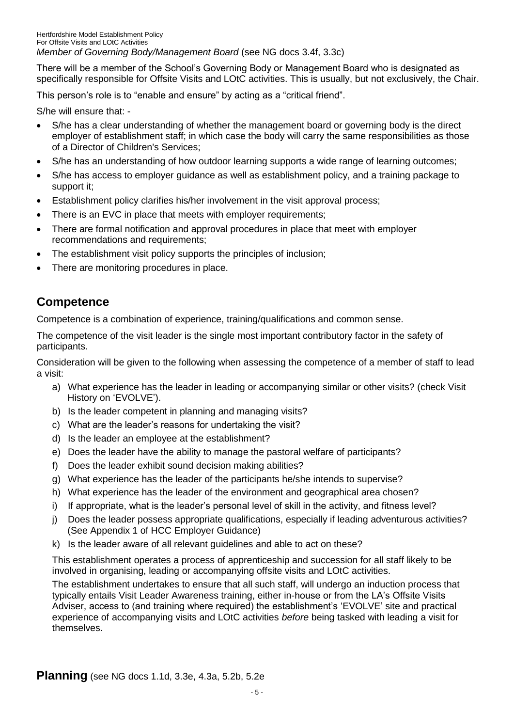There will be a member of the School's Governing Body or Management Board who is designated as specifically responsible for Offsite Visits and LOtC activities. This is usually, but not exclusively, the Chair.

This person's role is to "enable and ensure" by acting as a "critical friend".

S/he will ensure that: -

- S/he has a clear understanding of whether the management board or governing body is the direct employer of establishment staff; in which case the body will carry the same responsibilities as those of a Director of Children's Services;
- S/he has an understanding of how outdoor learning supports a wide range of learning outcomes;
- S/he has access to employer guidance as well as establishment policy, and a training package to support it;
- Establishment policy clarifies his/her involvement in the visit approval process;
- There is an EVC in place that meets with employer requirements;
- There are formal notification and approval procedures in place that meet with employer recommendations and requirements;
- The establishment visit policy supports the principles of inclusion;
- There are monitoring procedures in place.

## **Competence**

Competence is a combination of experience, training/qualifications and common sense.

The competence of the visit leader is the single most important contributory factor in the safety of participants.

Consideration will be given to the following when assessing the competence of a member of staff to lead a visit:

- a) What experience has the leader in leading or accompanying similar or other visits? (check Visit History on 'EVOLVE').
- b) Is the leader competent in planning and managing visits?
- c) What are the leader's reasons for undertaking the visit?
- d) Is the leader an employee at the establishment?
- e) Does the leader have the ability to manage the pastoral welfare of participants?
- f) Does the leader exhibit sound decision making abilities?
- g) What experience has the leader of the participants he/she intends to supervise?
- h) What experience has the leader of the environment and geographical area chosen?
- i) If appropriate, what is the leader's personal level of skill in the activity, and fitness level?
- j) Does the leader possess appropriate qualifications, especially if leading adventurous activities? (See Appendix 1 of HCC Employer Guidance)
- k) Is the leader aware of all relevant guidelines and able to act on these?

This establishment operates a process of apprenticeship and succession for all staff likely to be involved in organising, leading or accompanying offsite visits and LOtC activities.

The establishment undertakes to ensure that all such staff, will undergo an induction process that typically entails Visit Leader Awareness training, either in-house or from the LA's Offsite Visits Adviser, access to (and training where required) the establishment's 'EVOLVE' site and practical experience of accompanying visits and LOtC activities *before* being tasked with leading a visit for themselves.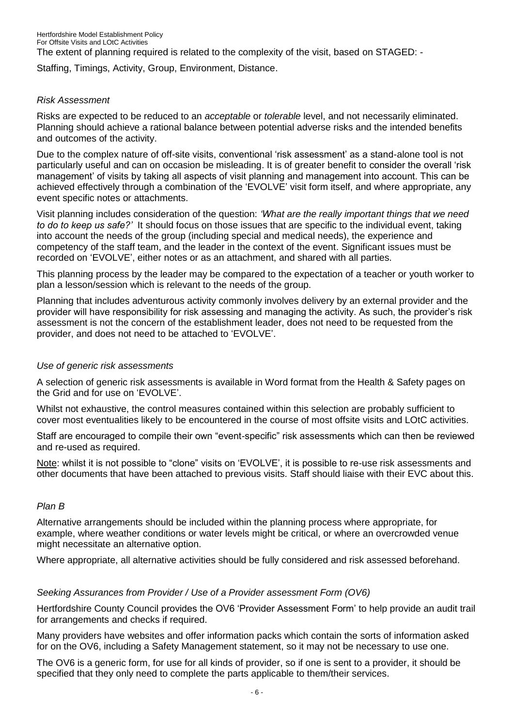The extent of planning required is related to the complexity of the visit, based on STAGED: -

Staffing, Timings, Activity, Group, Environment, Distance.

#### *Risk Assessment*

Risks are expected to be reduced to an *acceptable* or *tolerable* level, and not necessarily eliminated. Planning should achieve a rational balance between potential adverse risks and the intended benefits and outcomes of the activity.

Due to the complex nature of off-site visits, conventional 'risk assessment' as a stand-alone tool is not particularly useful and can on occasion be misleading. It is of greater benefit to consider the overall 'risk management' of visits by taking all aspects of visit planning and management into account. This can be achieved effectively through a combination of the 'EVOLVE' visit form itself, and where appropriate, any event specific notes or attachments.

Visit planning includes consideration of the question: *'What are the really important things that we need to do to keep us safe?'* It should focus on those issues that are specific to the individual event, taking into account the needs of the group (including special and medical needs), the experience and competency of the staff team, and the leader in the context of the event. Significant issues must be recorded on 'EVOLVE', either notes or as an attachment, and shared with all parties.

This planning process by the leader may be compared to the expectation of a teacher or youth worker to plan a lesson/session which is relevant to the needs of the group.

Planning that includes adventurous activity commonly involves delivery by an external provider and the provider will have responsibility for risk assessing and managing the activity. As such, the provider's risk assessment is not the concern of the establishment leader, does not need to be requested from the provider, and does not need to be attached to 'EVOLVE'.

#### *Use of generic risk assessments*

A selection of generic risk assessments is available in Word format from the Health & Safety pages on the Grid and for use on 'EVOLVE'.

Whilst not exhaustive, the control measures contained within this selection are probably sufficient to cover most eventualities likely to be encountered in the course of most offsite visits and LOtC activities.

Staff are encouraged to compile their own "event-specific" risk assessments which can then be reviewed and re-used as required.

Note: whilst it is not possible to "clone" visits on 'EVOLVE', it is possible to re-use risk assessments and other documents that have been attached to previous visits. Staff should liaise with their EVC about this.

#### *Plan B*

Alternative arrangements should be included within the planning process where appropriate, for example, where weather conditions or water levels might be critical, or where an overcrowded venue might necessitate an alternative option.

Where appropriate, all alternative activities should be fully considered and risk assessed beforehand.

### *Seeking Assurances from Provider / Use of a Provider assessment Form (OV6)*

Hertfordshire County Council provides the OV6 'Provider Assessment Form' to help provide an audit trail for arrangements and checks if required.

Many providers have websites and offer information packs which contain the sorts of information asked for on the OV6, including a Safety Management statement, so it may not be necessary to use one.

The OV6 is a generic form, for use for all kinds of provider, so if one is sent to a provider, it should be specified that they only need to complete the parts applicable to them/their services.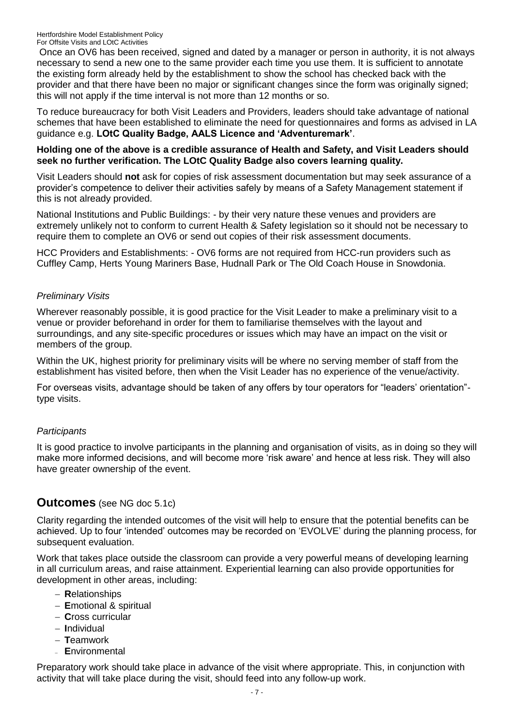Once an OV6 has been received, signed and dated by a manager or person in authority, it is not always necessary to send a new one to the same provider each time you use them. It is sufficient to annotate the existing form already held by the establishment to show the school has checked back with the provider and that there have been no major or significant changes since the form was originally signed; this will not apply if the time interval is not more than 12 months or so.

To reduce bureaucracy for both Visit Leaders and Providers, leaders should take advantage of national schemes that have been established to eliminate the need for questionnaires and forms as advised in LA guidance e.g. **LOtC Quality Badge, AALS Licence and 'Adventuremark'**.

### **Holding one of the above is a credible assurance of Health and Safety, and Visit Leaders should seek no further verification. The LOtC Quality Badge also covers learning quality.**

Visit Leaders should **not** ask for copies of risk assessment documentation but may seek assurance of a provider's competence to deliver their activities safely by means of a Safety Management statement if this is not already provided.

National Institutions and Public Buildings: - by their very nature these venues and providers are extremely unlikely not to conform to current Health & Safety legislation so it should not be necessary to require them to complete an OV6 or send out copies of their risk assessment documents.

HCC Providers and Establishments: - OV6 forms are not required from HCC-run providers such as Cuffley Camp, Herts Young Mariners Base, Hudnall Park or The Old Coach House in Snowdonia.

### *Preliminary Visits*

Wherever reasonably possible, it is good practice for the Visit Leader to make a preliminary visit to a venue or provider beforehand in order for them to familiarise themselves with the layout and surroundings, and any site-specific procedures or issues which may have an impact on the visit or members of the group.

Within the UK, highest priority for preliminary visits will be where no serving member of staff from the establishment has visited before, then when the Visit Leader has no experience of the venue/activity.

For overseas visits, advantage should be taken of any offers by tour operators for "leaders' orientation" type visits.

### *Participants*

It is good practice to involve participants in the planning and organisation of visits, as in doing so they will make more informed decisions, and will become more 'risk aware' and hence at less risk. They will also have greater ownership of the event.

## **Outcomes** (see NG doc 5.1c)

Clarity regarding the intended outcomes of the visit will help to ensure that the potential benefits can be achieved. Up to four 'intended' outcomes may be recorded on 'EVOLVE' during the planning process, for subsequent evaluation.

Work that takes place outside the classroom can provide a very powerful means of developing learning in all curriculum areas, and raise attainment. Experiential learning can also provide opportunities for development in other areas, including:

- **R**elationships
- **E**motional & spiritual
- **C**ross curricular
- **I**ndividual
- **T**eamwork
- **E**nvironmental

Preparatory work should take place in advance of the visit where appropriate. This, in conjunction with activity that will take place during the visit, should feed into any follow-up work.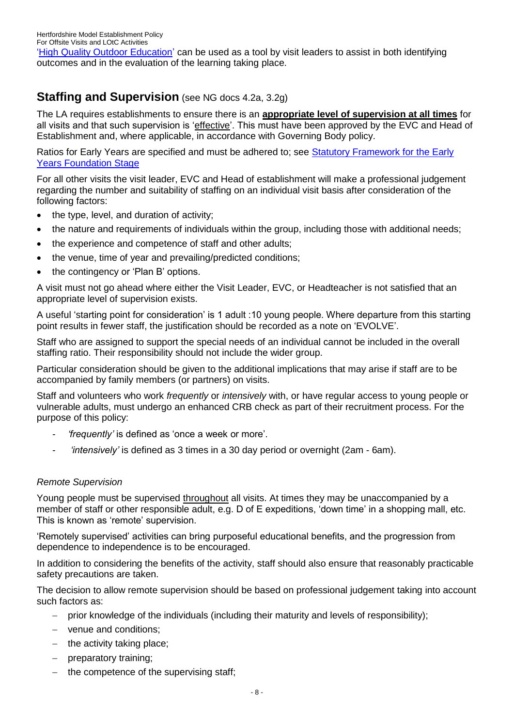['High Quality Outdoor Education'](http://www.national-library.info/download.asp?fileid=483) can be used as a tool by visit leaders to assist in both identifying outcomes and in the evaluation of the learning taking place.

# **Staffing and Supervision** (see NG docs 4.2a, 3.2g)

The LA requires establishments to ensure there is an **appropriate level of supervision at all times** for all visits and that such supervision is 'effective'. This must have been approved by the EVC and Head of Establishment and, where applicable, in accordance with Governing Body policy.

Ratios for Early Years are specified and must be adhered to; see [Statutory Framework for the Early](http://www.national-library.info/download.asp?fileid=1273)  [Years Foundation Stage](http://www.national-library.info/download.asp?fileid=1273)

For all other visits the visit leader, EVC and Head of establishment will make a professional judgement regarding the number and suitability of staffing on an individual visit basis after consideration of the following factors:

- $\bullet$  the type, level, and duration of activity;
- the nature and requirements of individuals within the group, including those with additional needs;
- the experience and competence of staff and other adults;
- the venue, time of year and prevailing/predicted conditions;
- the contingency or 'Plan B' options.

A visit must not go ahead where either the Visit Leader, EVC, or Headteacher is not satisfied that an appropriate level of supervision exists.

A useful 'starting point for consideration' is 1 adult :10 young people. Where departure from this starting point results in fewer staff, the justification should be recorded as a note on 'EVOLVE'.

Staff who are assigned to support the special needs of an individual cannot be included in the overall staffing ratio. Their responsibility should not include the wider group.

Particular consideration should be given to the additional implications that may arise if staff are to be accompanied by family members (or partners) on visits.

Staff and volunteers who work *frequently* or *intensively* with, or have regular access to young people or vulnerable adults, must undergo an enhanced CRB check as part of their recruitment process. For the purpose of this policy:

- *- 'frequently'* is defined as 'once a week or more'.
- *- 'intensively'* is defined as 3 times in a 30 day period or overnight (2am 6am).

### *Remote Supervision*

Young people must be supervised throughout all visits. At times they may be unaccompanied by a member of staff or other responsible adult, e.g. D of E expeditions, 'down time' in a shopping mall, etc. This is known as 'remote' supervision.

'Remotely supervised' activities can bring purposeful educational benefits, and the progression from dependence to independence is to be encouraged.

In addition to considering the benefits of the activity, staff should also ensure that reasonably practicable safety precautions are taken.

The decision to allow remote supervision should be based on professional judgement taking into account such factors as:

- prior knowledge of the individuals (including their maturity and levels of responsibility);
- venue and conditions;
- $-$  the activity taking place;
- preparatory training;
- the competence of the supervising staff;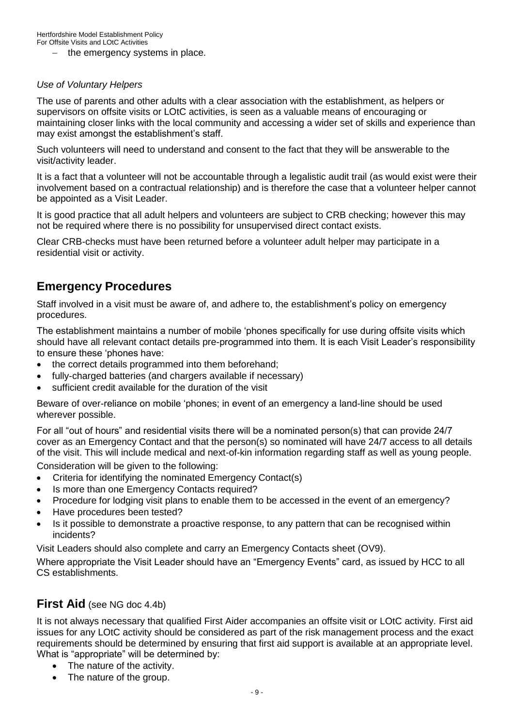$-$  the emergency systems in place.

### *Use of Voluntary Helpers*

The use of parents and other adults with a clear association with the establishment, as helpers or supervisors on offsite visits or LOtC activities, is seen as a valuable means of encouraging or maintaining closer links with the local community and accessing a wider set of skills and experience than may exist amongst the establishment's staff.

Such volunteers will need to understand and consent to the fact that they will be answerable to the visit/activity leader.

It is a fact that a volunteer will not be accountable through a legalistic audit trail (as would exist were their involvement based on a contractual relationship) and is therefore the case that a volunteer helper cannot be appointed as a Visit Leader.

It is good practice that all adult helpers and volunteers are subject to CRB checking; however this may not be required where there is no possibility for unsupervised direct contact exists.

Clear CRB-checks must have been returned before a volunteer adult helper may participate in a residential visit or activity.

## **Emergency Procedures**

Staff involved in a visit must be aware of, and adhere to, the establishment's policy on emergency procedures.

The establishment maintains a number of mobile 'phones specifically for use during offsite visits which should have all relevant contact details pre-programmed into them. It is each Visit Leader's responsibility to ensure these 'phones have:

- the correct details programmed into them beforehand;
- fully-charged batteries (and chargers available if necessary)
- sufficient credit available for the duration of the visit

Beware of over-reliance on mobile 'phones; in event of an emergency a land-line should be used wherever possible.

For all "out of hours" and residential visits there will be a nominated person(s) that can provide 24/7 cover as an Emergency Contact and that the person(s) so nominated will have 24/7 access to all details of the visit. This will include medical and next-of-kin information regarding staff as well as young people.

Consideration will be given to the following:

- Criteria for identifying the nominated Emergency Contact(s)
- Is more than one Emergency Contacts required?
- Procedure for lodging visit plans to enable them to be accessed in the event of an emergency?
- Have procedures been tested?
- Is it possible to demonstrate a proactive response, to any pattern that can be recognised within incidents?

Visit Leaders should also complete and carry an Emergency Contacts sheet (OV9).

Where appropriate the Visit Leader should have an "Emergency Events" card, as issued by HCC to all CS establishments.

### **First Aid** (see NG doc 4.4b)

It is not always necessary that qualified First Aider accompanies an offsite visit or LOtC activity. First aid issues for any LOtC activity should be considered as part of the risk management process and the exact requirements should be determined by ensuring that first aid support is available at an appropriate level. What is "appropriate" will be determined by:

- The nature of the activity.
- The nature of the group.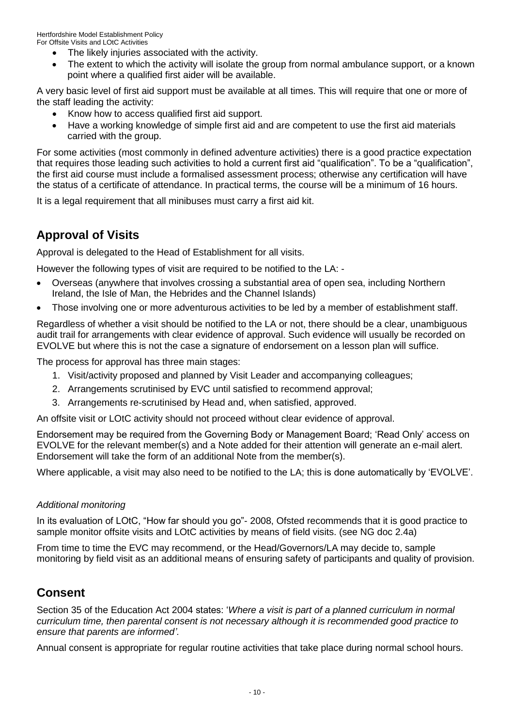- The likely injuries associated with the activity.
- The extent to which the activity will isolate the group from normal ambulance support, or a known point where a qualified first aider will be available.

A very basic level of first aid support must be available at all times. This will require that one or more of the staff leading the activity:

- Know how to access qualified first aid support.
- Have a working knowledge of simple first aid and are competent to use the first aid materials carried with the group.

For some activities (most commonly in defined adventure activities) there is a good practice expectation that requires those leading such activities to hold a current first aid "qualification". To be a "qualification", the first aid course must include a formalised assessment process; otherwise any certification will have the status of a certificate of attendance. In practical terms, the course will be a minimum of 16 hours.

It is a legal requirement that all minibuses must carry a first aid kit.

# **Approval of Visits**

Approval is delegated to the Head of Establishment for all visits.

However the following types of visit are required to be notified to the LA: -

- Overseas (anywhere that involves crossing a substantial area of open sea, including Northern Ireland, the Isle of Man, the Hebrides and the Channel Islands)
- Those involving one or more adventurous activities to be led by a member of establishment staff.

Regardless of whether a visit should be notified to the LA or not, there should be a clear, unambiguous audit trail for arrangements with clear evidence of approval. Such evidence will usually be recorded on EVOLVE but where this is not the case a signature of endorsement on a lesson plan will suffice.

The process for approval has three main stages:

- 1. Visit/activity proposed and planned by Visit Leader and accompanying colleagues;
- 2. Arrangements scrutinised by EVC until satisfied to recommend approval;
- 3. Arrangements re-scrutinised by Head and, when satisfied, approved.

An offsite visit or LOtC activity should not proceed without clear evidence of approval.

Endorsement may be required from the Governing Body or Management Board; 'Read Only' access on EVOLVE for the relevant member(s) and a Note added for their attention will generate an e-mail alert. Endorsement will take the form of an additional Note from the member(s).

Where applicable, a visit may also need to be notified to the LA; this is done automatically by 'EVOLVE'.

### *Additional monitoring*

In its evaluation of LOtC, "How far should you go"- 2008, Ofsted recommends that it is good practice to sample monitor offsite visits and LOtC activities by means of field visits. (see NG doc 2.4a)

From time to time the EVC may recommend, or the Head/Governors/LA may decide to, sample monitoring by field visit as an additional means of ensuring safety of participants and quality of provision.

## **Consent**

Section 35 of the Education Act 2004 states: '*Where a visit is part of a planned curriculum in normal curriculum time, then parental consent is not necessary although it is recommended good practice to ensure that parents are informed'.*

Annual consent is appropriate for regular routine activities that take place during normal school hours.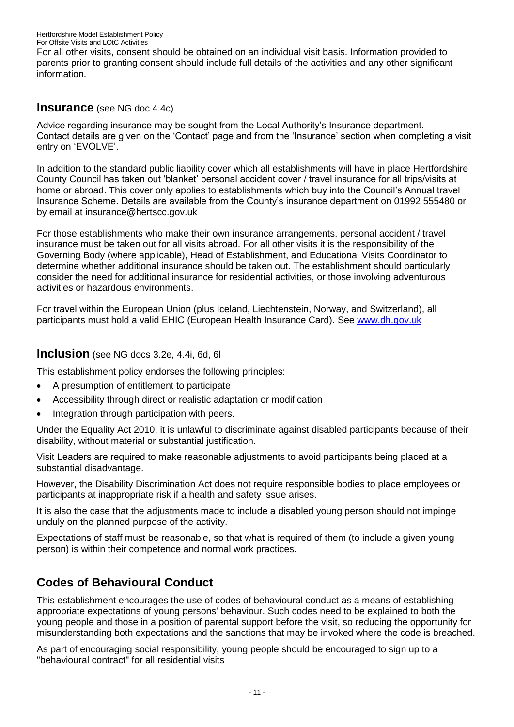For all other visits, consent should be obtained on an individual visit basis. Information provided to parents prior to granting consent should include full details of the activities and any other significant information.

## **Insurance** (see NG doc 4.4c)

Advice regarding insurance may be sought from the Local Authority's Insurance department. Contact details are given on the 'Contact' page and from the 'Insurance' section when completing a visit entry on 'EVOLVE'.

In addition to the standard public liability cover which all establishments will have in place Hertfordshire County Council has taken out 'blanket' personal accident cover / travel insurance for all trips/visits at home or abroad. This cover only applies to establishments which buy into the Council's Annual travel Insurance Scheme. Details are available from the County's insurance department on 01992 555480 or by email at insurance@hertscc.gov.uk

For those establishments who make their own insurance arrangements, personal accident / travel insurance must be taken out for all visits abroad. For all other visits it is the responsibility of the Governing Body (where applicable), Head of Establishment, and Educational Visits Coordinator to determine whether additional insurance should be taken out. The establishment should particularly consider the need for additional insurance for residential activities, or those involving adventurous activities or hazardous environments.

For travel within the European Union (plus Iceland, Liechtenstein, Norway, and Switzerland), all participants must hold a valid EHIC (European Health Insurance Card). See [www.dh.gov.uk](http://www.dh.gov.uk/)

## **Inclusion** (see NG docs 3.2e, 4.4i, 6d, 6l

This establishment policy endorses the following principles:

- A presumption of entitlement to participate
- Accessibility through direct or realistic adaptation or modification
- Integration through participation with peers.

Under the Equality Act 2010, it is unlawful to discriminate against disabled participants because of their disability, without material or substantial justification.

Visit Leaders are required to make reasonable adjustments to avoid participants being placed at a substantial disadvantage.

However, the Disability Discrimination Act does not require responsible bodies to place employees or participants at inappropriate risk if a health and safety issue arises.

It is also the case that the adjustments made to include a disabled young person should not impinge unduly on the planned purpose of the activity.

Expectations of staff must be reasonable, so that what is required of them (to include a given young person) is within their competence and normal work practices.

# **Codes of Behavioural Conduct**

This establishment encourages the use of codes of behavioural conduct as a means of establishing appropriate expectations of young persons' behaviour. Such codes need to be explained to both the young people and those in a position of parental support before the visit, so reducing the opportunity for misunderstanding both expectations and the sanctions that may be invoked where the code is breached.

As part of encouraging social responsibility, young people should be encouraged to sign up to a "behavioural contract" for all residential visits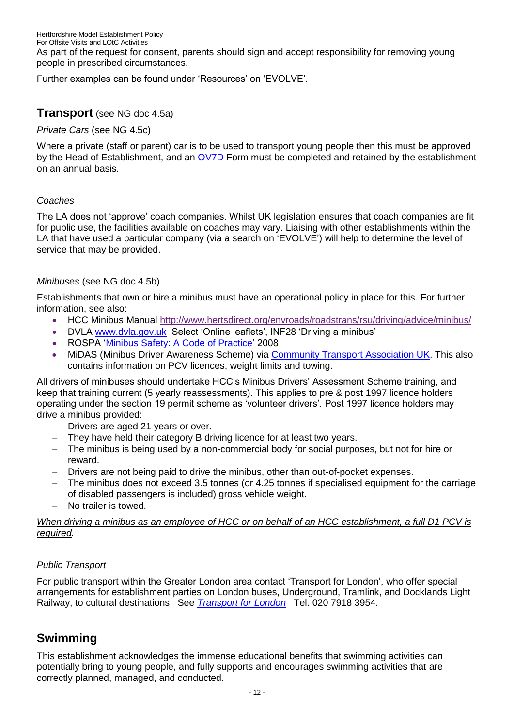As part of the request for consent, parents should sign and accept responsibility for removing young people in prescribed circumstances.

Further examples can be found under 'Resources' on 'EVOLVE'.

## **Transport** (see NG doc 4.5a)

*Private Cars* (see NG 4.5c)

Where a private (staff or parent) car is to be used to transport young people then this must be approved by the Head of Establishment, and an [OV7D](file://NWC-CHAMNT/CHAMNT/HERTFORD01/CSERV/PEOPLE%20PROP/sermu/DATA/Sharedir/SDRIVE/Health%20%20&%20Safety/EPAS/OFFSITE%20VISITS/Offsite%20Visits%20Manual/Offsite%20Visits%20Manual%20Revision%203%20-%20Nov%2006/CSF4261%20FORM%20OV%207D%20rev%201106.doc) Form must be completed and retained by the establishment on an annual basis.

### *Coaches*

The LA does not 'approve' coach companies. Whilst UK legislation ensures that coach companies are fit for public use, the facilities available on coaches may vary. Liaising with other establishments within the LA that have used a particular company (via a search on 'EVOLVE') will help to determine the level of service that may be provided.

### *Minibuses* (see NG doc 4.5b)

Establishments that own or hire a minibus must have an operational policy in place for this. For further information, see also:

- HCC Minibus Manual<http://www.hertsdirect.org/envroads/roadstrans/rsu/driving/advice/minibus/>
- DVLA [www.dvla.gov.uk](http://www.dvla.gov.uk/) Select 'Online leaflets', INF28 'Driving a minibus'
- ROSPA ['Minibus Safety: A Code of Practice'](http://www.national-library.info/download.asp?fileid=573) 2008
- MiDAS (Minibus Driver Awareness Scheme) via [Community Transport Association UK.](http://www.ctauk.org/advice-and-information/safe-and-legal-education.aspx) This also contains information on PCV licences, weight limits and towing.

All drivers of minibuses should undertake HCC's Minibus Drivers' Assessment Scheme training, and keep that training current (5 yearly reassessments). This applies to pre & post 1997 licence holders operating under the section 19 permit scheme as 'volunteer drivers'. Post 1997 licence holders may drive a minibus provided:

- Drivers are aged 21 years or over.
- They have held their category B driving licence for at least two years.
- The minibus is being used by a non-commercial body for social purposes, but not for hire or reward.
- Drivers are not being paid to drive the minibus, other than out-of-pocket expenses.
- The minibus does not exceed 3.5 tonnes (or 4.25 tonnes if specialised equipment for the carriage of disabled passengers is included) gross vehicle weight.
- No trailer is towed.

#### *When driving a minibus as an employee of HCC or on behalf of an HCC establishment, a full D1 PCV is required.*

### *Public Transport*

For public transport within the Greater London area contact 'Transport for London', who offer special arrangements for establishment parties on London buses, Underground, Tramlink, and Docklands Light Railway, to cultural destinations. See *[Transport for London](http://tfl.gov.uk/tickets/14311.aspx)* Tel. 020 7918 3954.

## **Swimming**

This establishment acknowledges the immense educational benefits that swimming activities can potentially bring to young people, and fully supports and encourages swimming activities that are correctly planned, managed, and conducted.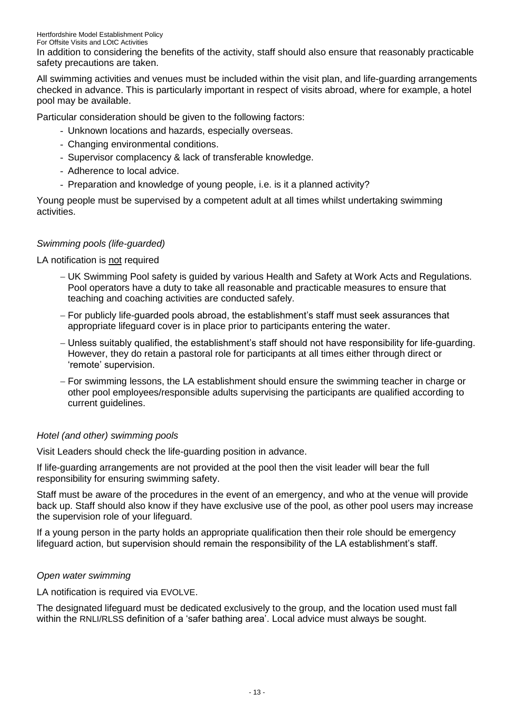In addition to considering the benefits of the activity, staff should also ensure that reasonably practicable safety precautions are taken.

All swimming activities and venues must be included within the visit plan, and life-guarding arrangements checked in advance. This is particularly important in respect of visits abroad, where for example, a hotel pool may be available.

Particular consideration should be given to the following factors:

- Unknown locations and hazards, especially overseas.
- Changing environmental conditions.
- Supervisor complacency & lack of transferable knowledge.
- Adherence to local advice.
- Preparation and knowledge of young people, i.e. is it a planned activity?

Young people must be supervised by a competent adult at all times whilst undertaking swimming activities.

### *Swimming pools (life-guarded)*

LA notification is not required

- UK Swimming Pool safety is guided by various Health and Safety at Work Acts and Regulations. Pool operators have a duty to take all reasonable and practicable measures to ensure that teaching and coaching activities are conducted safely.
- For publicly life-guarded pools abroad, the establishment's staff must seek assurances that appropriate lifeguard cover is in place prior to participants entering the water.
- Unless suitably qualified, the establishment's staff should not have responsibility for life-guarding. However, they do retain a pastoral role for participants at all times either through direct or 'remote' supervision.
- For swimming lessons, the LA establishment should ensure the swimming teacher in charge or other pool employees/responsible adults supervising the participants are qualified according to current guidelines.

### *Hotel (and other) swimming pools*

Visit Leaders should check the life-guarding position in advance.

If life-guarding arrangements are not provided at the pool then the visit leader will bear the full responsibility for ensuring swimming safety.

Staff must be aware of the procedures in the event of an emergency, and who at the venue will provide back up. Staff should also know if they have exclusive use of the pool, as other pool users may increase the supervision role of your lifeguard.

If a young person in the party holds an appropriate qualification then their role should be emergency lifeguard action, but supervision should remain the responsibility of the LA establishment's staff.

### *Open water swimming*

LA notification is required via EVOLVE.

The designated lifeguard must be dedicated exclusively to the group, and the location used must fall within the RNLI/RLSS definition of a 'safer bathing area'. Local advice must always be sought.